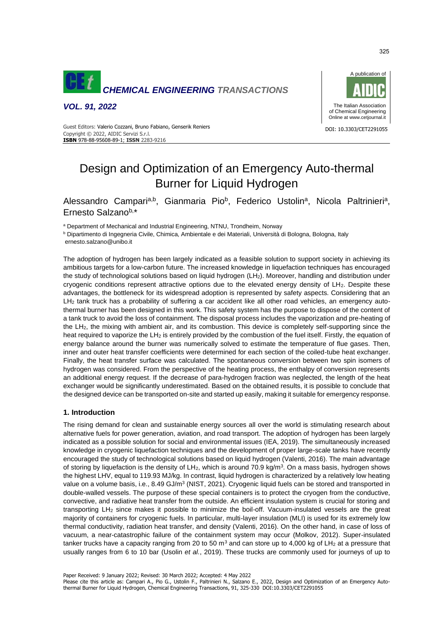

*VOL. 91, 2022*



Guest Editors: Valerio Cozzani, Bruno Fabiano, Genserik Reniers<br>Charles Constant Discussion of the Constant of the Constant Oriental School of the Constant Discussion of the Copyright © 2022, AIDIC Servizi S.r.l. **ISBN** 978-88-95608-89-1; **ISSN** 2283-9216

# Design and Optimization of an Emergency Auto-thermal Burner for Liquid Hydrogen

Alessandro Campari<sup>a,b</sup>, Gianmaria Pio<sup>b</sup>, Federico Ustolin<sup>a</sup>, Nicola Paltrinieri<sup>a</sup>, Ernesto Salzanob,\*

<sup>a</sup> Department of Mechanical and Industrial Engineering, NTNU, Trondheim, Norway

<sup>b</sup> Dipartimento di Ingegneria Civile, Chimica, Ambientale e dei Materiali, Università di Bologna, Bologna, Italy ernesto.salzano@unibo.it

The adoption of hydrogen has been largely indicated as a feasible solution to support society in achieving its ambitious targets for a low-carbon future. The increased knowledge in liquefaction techniques has encouraged the study of technological solutions based on liquid hydrogen (LH2). Moreover, handling and distribution under cryogenic conditions represent attractive options due to the elevated energy density of LH<sub>2</sub>. Despite these advantages, the bottleneck for its widespread adoption is represented by safety aspects. Considering that an LH<sup>2</sup> tank truck has a probability of suffering a car accident like all other road vehicles, an emergency autothermal burner has been designed in this work. This safety system has the purpose to dispose of the content of a tank truck to avoid the loss of containment. The disposal process includes the vaporization and pre-heating of the LH2, the mixing with ambient air, and its combustion. This device is completely self-supporting since the heat required to vaporize the  $LH_2$  is entirely provided by the combustion of the fuel itself. Firstly, the equation of energy balance around the burner was numerically solved to estimate the temperature of flue gases. Then, inner and outer heat transfer coefficients were determined for each section of the coiled-tube heat exchanger. Finally, the heat transfer surface was calculated. The spontaneous conversion between two spin isomers of hydrogen was considered. From the perspective of the heating process, the enthalpy of conversion represents an additional energy request. If the decrease of para-hydrogen fraction was neglected, the length of the heat exchanger would be significantly underestimated. Based on the obtained results, it is possible to conclude that the designed device can be transported on-site and started up easily, making it suitable for emergency response.

# **1. Introduction**

The rising demand for clean and sustainable energy sources all over the world is stimulating research about alternative fuels for power generation, aviation, and road transport. The adoption of hydrogen has been largely indicated as a possible solution for social and environmental issues (IEA, 2019). The simultaneously increased knowledge in cryogenic liquefaction techniques and the development of proper large-scale tanks have recently encouraged the study of technological solutions based on liquid hydrogen (Valenti, 2016). The main advantage of storing by liquefaction is the density of LH<sub>2</sub>, which is around 70.9 kg/m<sup>3</sup>. On a mass basis, hydrogen shows the highest LHV, equal to 119.93 MJ/kg. In contrast, liquid hydrogen is characterized by a relatively low heating value on a volume basis, i.e., 8.49 GJ/m<sup>3</sup> (NIST, 2021). Cryogenic liquid fuels can be stored and transported in double-walled vessels. The purpose of these special containers is to protect the cryogen from the conductive, convective, and radiative heat transfer from the outside. An efficient insulation system is crucial for storing and transporting LH<sup>2</sup> since makes it possible to minimize the boil-off. Vacuum-insulated vessels are the great majority of containers for cryogenic fuels. In particular, multi-layer insulation (MLI) is used for its extremely low thermal conductivity, radiation heat transfer, and density (Valenti, 2016). On the other hand, in case of loss of vacuum, a near-catastrophic failure of the containment system may occur (Molkov, 2012). Super-insulated tanker trucks have a capacity ranging from 20 to 50  $\text{m}^3$  and can store up to 4,000 kg of LH<sub>2</sub> at a pressure that usually ranges from 6 to 10 bar (Usolin *et al.*, 2019). These trucks are commonly used for journeys of up to

Please cite this article as: Campari A., Pio G., Ustolin F., Paltrinieri N., Salzano E., 2022, Design and Optimization of an Emergency Autothermal Burner for Liquid Hydrogen, Chemical Engineering Transactions, 91, 325-330 DOI:10.3303/CET2291055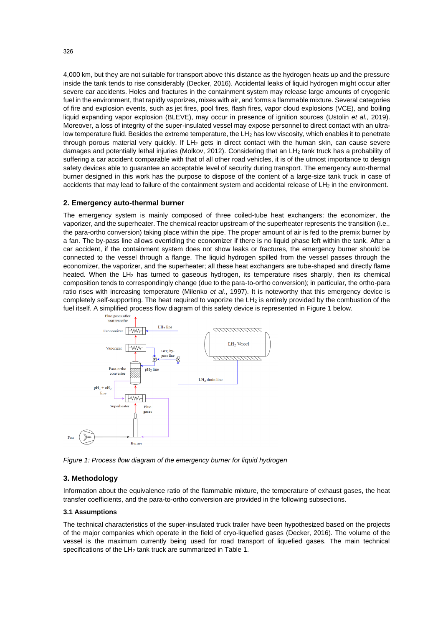4,000 km, but they are not suitable for transport above this distance as the hydrogen heats up and the pressure inside the tank tends to rise considerably (Decker, 2016). Accidental leaks of liquid hydrogen might occur after severe car accidents. Holes and fractures in the containment system may release large amounts of cryogenic fuel in the environment, that rapidly vaporizes, mixes with air, and forms a flammable mixture. Several categories of fire and explosion events, such as jet fires, pool fires, flash fires, vapor cloud explosions (VCE), and boiling liquid expanding vapor explosion (BLEVE), may occur in presence of ignition sources (Ustolin *et al.*, 2019). Moreover, a loss of integrity of the super-insulated vessel may expose personnel to direct contact with an ultralow temperature fluid. Besides the extreme temperature, the LH<sub>2</sub> has low viscosity, which enables it to penetrate through porous material very quickly. If LH<sub>2</sub> gets in direct contact with the human skin, can cause severe damages and potentially lethal injuries (Molkov, 2012). Considering that an LH<sub>2</sub> tank truck has a probability of suffering a car accident comparable with that of all other road vehicles, it is of the utmost importance to design safety devices able to guarantee an acceptable level of security during transport. The emergency auto-thermal burner designed in this work has the purpose to dispose of the content of a large-size tank truck in case of accidents that may lead to failure of the containment system and accidental release of LH<sub>2</sub> in the environment.

## **2. Emergency auto-thermal burner**

The emergency system is mainly composed of three coiled-tube heat exchangers: the economizer, the vaporizer, and the superheater. The chemical reactor upstream of the superheater represents the transition (i.e., the para-ortho conversion) taking place within the pipe. The proper amount of air is fed to the premix burner by a fan. The by-pass line allows overriding the economizer if there is no liquid phase left within the tank. After a car accident, if the containment system does not show leaks or fractures, the emergency burner should be connected to the vessel through a flange. The liquid hydrogen spilled from the vessel passes through the economizer, the vaporizer, and the superheater; all these heat exchangers are tube-shaped and directly flame heated. When the  $LH_2$  has turned to gaseous hydrogen, its temperature rises sharply, then its chemical composition tends to correspondingly change (due to the para-to-ortho conversion); in particular, the ortho-para ratio rises with increasing temperature (Milenko *et al.*, 1997). It is noteworthy that this emergency device is completely self-supporting. The heat required to vaporize the LH<sup>2</sup> is entirely provided by the combustion of the fuel itself. A simplified process flow diagram of this safety device is represented in Figure 1 below.



*Figure 1: Process flow diagram of the emergency burner for liquid hydrogen*

## **3. Methodology**

Information about the equivalence ratio of the flammable mixture, the temperature of exhaust gases, the heat transfer coefficients, and the para-to-ortho conversion are provided in the following subsections.

#### **3.1 Assumptions**

The technical characteristics of the super-insulated truck trailer have been hypothesized based on the projects of the major companies which operate in the field of cryo-liquefied gases (Decker, 2016). The volume of the vessel is the maximum currently being used for road transport of liquefied gases. The main technical specifications of the LH<sub>2</sub> tank truck are summarized in Table 1.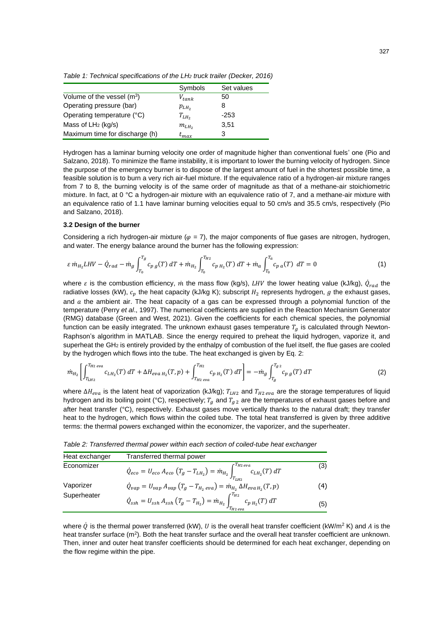*Table 1: Technical specifications of the LH<sup>2</sup> truck trailer (Decker, 2016)*

|                                | Symbols    | Set values |
|--------------------------------|------------|------------|
| Volume of the vessel $(m^3)$   | $V_{tank}$ | 50         |
| Operating pressure (bar)       | $p_{LH_2}$ | 8          |
| Operating temperature (°C)     | $T_{LH_2}$ | $-253$     |
| Mass of $LH_2$ (kg/s)          | $m_{LH_2}$ | 3,51       |
| Maximum time for discharge (h) | $t_{max}$  | 3          |

Hydrogen has a laminar burning velocity one order of magnitude higher than conventional fuels' one (Pio and Salzano, 2018). To minimize the flame instability, it is important to lower the burning velocity of hydrogen. Since the purpose of the emergency burner is to dispose of the largest amount of fuel in the shortest possible time, a feasible solution is to burn a very rich air-fuel mixture. If the equivalence ratio of a hydrogen-air mixture ranges from 7 to 8, the burning velocity is of the same order of magnitude as that of a methane-air stoichiometric mixture. In fact, at 0 °C a hydrogen-air mixture with an equivalence ratio of 7, and a methane-air mixture with an equivalence ratio of 1.1 have laminar burning velocities equal to 50 cm/s and 35.5 cm/s, respectively (Pio and Salzano, 2018).

## **3.2 Design of the burner**

Considering a rich hydrogen-air mixture ( $\varphi$  = 7), the major components of flue gases are nitrogen, hydrogen, and water. The energy balance around the burner has the following expression:

$$
\varepsilon \dot{m}_{H_2} LHV - \dot{Q}_{rad} - \dot{m}_g \int_{T_0}^{T_g} c_{p\,g}(T) \, dT + \dot{m}_{H_2} \int_{T_0}^{T_{H_2}} c_{p\,H_2}(T) \, dT + \dot{m}_a \int_{T_0}^{T_a} c_{p\,a}(T) \, dT = 0 \tag{1}
$$

where  $\varepsilon$  is the combustion efficiency,  $\dot{m}$  the mass flow (kg/s), LHV the lower heating value (kJ/kg),  $\dot{Q}_{rad}$  the radiative losses (kW),  $c_p$  the heat capacity (kJ/kg K); subscript  $H_2$  represents hydrogen, g the exhaust gases, and  $a$  the ambient air. The heat capacity of a gas can be expressed through a polynomial function of the temperature (Perry *et al*., 1997). The numerical coefficients are supplied in the Reaction Mechanism Generator (RMG) database (Green and West, 2021). Given the coefficients for each chemical species, the polynomial function can be easily integrated. The unknown exhaust gases temperature  $T_a$  is calculated through Newton-Raphson's algorithm in MATLAB. Since the energy required to preheat the liquid hydrogen, vaporize it, and superheat the GH<sub>2</sub> is entirely provided by the enthalpy of combustion of the fuel itself, the flue gases are cooled by the hydrogen which flows into the tube. The heat exchanged is given by Eq. 2:

$$
\dot{m}_{H_2} \left[ \int_{T_{LH_2}}^{T_{H_2\text{ }even}} c_{LH_2}(T) \, dT + \Delta H_{\text{eva }H_2}(T, p) + \int_{T_{H_2\text{ }even}}^{T_{H_2}} c_{p\,H_2}(T) \, dT \right] = -\dot{m}_g \int_{T_g}^{T_g} c_{p\,g}(T) \, dT \tag{2}
$$

where  $\Delta H_{eva}$  is the latent heat of vaporization (kJ/kg);  $T_{LH2}$  and  $T_{H2\;eva}$  are the storage temperatures of liquid hydrogen and its boiling point (°C), respectively;  $T_g$  and  $T_{g2}$  are the temperatures of exhaust gases before and after heat transfer (°C), respectively. Exhaust gases move vertically thanks to the natural draft; they transfer heat to the hydrogen, which flows within the coiled tube. The total heat transferred is given by three additive terms: the thermal powers exchanged within the economizer, the vaporizer, and the superheater.

*Table 2: Transferred thermal power within each section of coiled-tube heat exchanger*

| Heat exchanger           | Transferred thermal power                                                                                                                    |     |
|--------------------------|----------------------------------------------------------------------------------------------------------------------------------------------|-----|
| Economizer               | $\dot{Q}_{eco} = U_{eco} \; A_{eco} \left( T_g - T_{LH_2} \right) = \dot{m}_{H_2} \int_{T_{LH_2}}^{T_{H2\;eva}} c_{LH_2}(T) \; dT$           | (3) |
| Vaporizer<br>Superheater | $\dot{Q}_{vap} = U_{vap} A_{vap} (T_g - T_{H_2\,eva}) = \dot{m}_{H_2} \Delta H_{eva\,H_2}(T, p)$                                             | (4) |
|                          | $\dot{Q}_{\text{ss}h} = U_{\text{ss}h} A_{\text{ss}h} (T_g - T_{H_2}) = \dot{m}_{H_2} \int_{T_{H_2,\text{ev}a}}^{T_{H_2}} c_{p\,H_2}(T)\,dT$ | (5) |

where  $\dot{Q}$  is the thermal power transferred (kW), U is the overall heat transfer coefficient (kW/m<sup>2</sup> K) and A is the heat transfer surface  $(m^2)$ . Both the heat transfer surface and the overall heat transfer coefficient are unknown. Then, inner and outer heat transfer coefficients should be determined for each heat exchanger, depending on the flow regime within the pipe.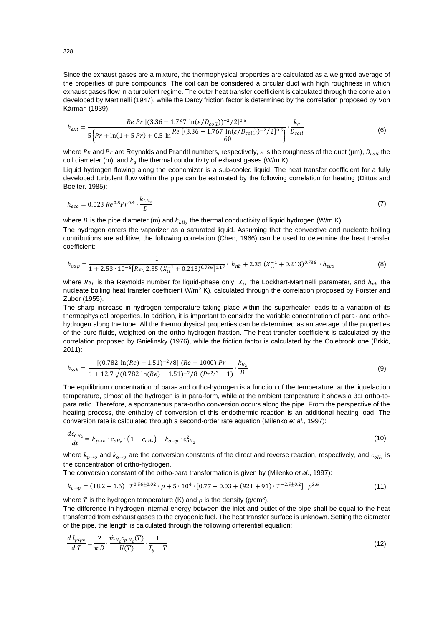Since the exhaust gases are a mixture, the thermophysical properties are calculated as a weighted average of the properties of pure compounds. The coil can be considered a circular duct with high roughness in which exhaust gases flow in a turbulent regime. The outer heat transfer coefficient is calculated through the correlation developed by Martinelli (1947), while the Darcy friction factor is determined by the correlation proposed by Von Kármán (1939):

$$
h_{ext} = \frac{Re \ Pr [(3.36 - 1.767 \ln(\varepsilon/D_{coil}))^{-2}/2]^{0.5}}{5\left\{Pr + \ln(1 + 5\ Pr) + 0.5 \ln \frac{Re [(3.36 - 1.767 \ln(\varepsilon/D_{coil}))^{-2}/2]^{0.5}}{60}\right\}} \cdot \frac{k_g}{D_{coil}} \tag{6}
$$

where Re and Pr are Reynolds and Prandtl numbers, respectively,  $\varepsilon$  is the roughness of the duct (µm),  $D_{coil}$  the coil diameter (m), and  $k_a$  the thermal conductivity of exhaust gases (W/m K).

Liquid hydrogen flowing along the economizer is a sub-cooled liquid. The heat transfer coefficient for a fully developed turbulent flow within the pipe can be estimated by the following correlation for heating (Dittus and Boelter, 1985):

$$
h_{eco} = 0.023 \, Re^{0.8} Pr^{0.4} \cdot \frac{k_{LH_2}}{D} \tag{7}
$$

where D is the pipe diameter (m) and  $k_{LH_2}$  the thermal conductivity of liquid hydrogen (W/m K).

The hydrogen enters the vaporizer as a saturated liquid. Assuming that the convective and nucleate boiling contributions are additive, the following correlation (Chen, 1966) can be used to determine the heat transfer coefficient:

$$
h_{vap} = \frac{1}{1 + 2.53 \cdot 10^{-6} [Re_L 2.35 (X_{tt}^{-1} + 0.213)^{0.736}]^{1.17}} \cdot h_{nb} + 2.35 (X_{tt}^{-1} + 0.213)^{0.736} \cdot h_{eco}
$$
(8)

where  $Re_L$  is the Reynolds number for liquid-phase only,  $X_{tt}$  the Lockhart-Martinelli parameter, and  $h_{nb}$  the nucleate boiling heat transfer coefficient  $W/m^2$  K), calculated through the correlation proposed by Forster and Zuber (1955).

The sharp increase in hydrogen temperature taking place within the superheater leads to a variation of its thermophysical properties. In addition, it is important to consider the variable concentration of para- and orthohydrogen along the tube. All the thermophysical properties can be determined as an average of the properties of the pure fluids, weighted on the ortho-hydrogen fraction. The heat transfer coefficient is calculated by the correlation proposed by Gnielinsky (1976), while the friction factor is calculated by the Colebrook one (Brkić, 2011):

$$
h_{\rm ssh} = \frac{\left[ (0.782 \ln(Re) - 1.51)^{-2} / 8 \right] (Re - 1000) Pr}{1 + 12.7 \sqrt{(0.782 \ln(Re) - 1.51)^{-2} / 8} (Pr^{2/3} - 1)} \cdot \frac{k_{H_2}}{D}
$$
(9)

The equilibrium concentration of para- and ortho-hydrogen is a function of the temperature: at the liquefaction temperature, almost all the hydrogen is in para-form, while at the ambient temperature it shows a 3:1 ortho-topara ratio. Therefore, a spontaneous para-ortho conversion occurs along the pipe. From the perspective of the heating process, the enthalpy of conversion of this endothermic reaction is an additional heating load. The conversion rate is calculated through a second-order rate equation (Milenko *et al*., 1997):

$$
\frac{dc_{oH_2}}{dt} = k_{p \to o} \cdot c_{oH_2} \cdot (1 - c_{oH_2}) - k_{o \to p} \cdot c_{oH_2}^2 \tag{10}
$$

where  $k_{p\to o}$  and  $k_{o\to p}$  are the conversion constants of the direct and reverse reaction, respectively, and  $c_{oH_2}$  is the concentration of ortho-hydrogen.

The conversion constant of the ortho-para transformation is given by (Milenko *et al*., 1997):

$$
k_{o \to p} = (18.2 + 1.6) \cdot T^{0.56 \pm 0.02} \cdot \rho + 5 \cdot 10^4 \cdot [0.77 + 0.03 + (921 + 91) \cdot T^{-2.5 \pm 0.2}] \cdot \rho^{3.6}
$$
 (11)

where T is the hydrogen temperature (K) and  $\rho$  is the density (g/cm<sup>3</sup>).

The difference in hydrogen internal energy between the inlet and outlet of the pipe shall be equal to the heat transferred from exhaust gases to the cryogenic fuel. The heat transfer surface is unknown. Setting the diameter of the pipe, the length is calculated through the following differential equation:

$$
\frac{d l_{pipe}}{dT} = \frac{2}{\pi D} \cdot \frac{\dot{m}_{H_2} c_{p H_2}(T)}{U(T)} \cdot \frac{1}{T_g - T}
$$
\n(12)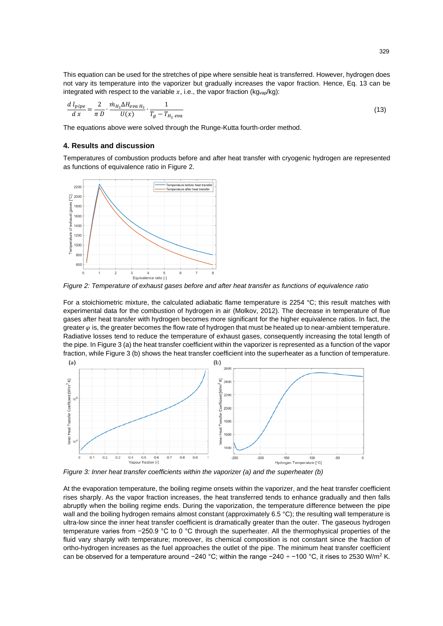This equation can be used for the stretches of pipe where sensible heat is transferred. However, hydrogen does not vary its temperature into the vaporizer but gradually increases the vapor fraction. Hence, Eq. 13 can be integrated with respect to the variable  $x$ , i.e., the vapor fraction (kg<sub>vap</sub>/kg):

$$
\frac{d l_{pipe}}{d x} = \frac{2}{\pi D} \cdot \frac{\dot{m}_{H_2} \Delta H_{eva\,H_2}}{U(x)} \cdot \frac{1}{T_g - T_{H_2\,eva}}\tag{13}
$$

The equations above were solved through the Runge-Kutta fourth-order method.

## **4. Results and discussion**

Temperatures of combustion products before and after heat transfer with cryogenic hydrogen are represented as functions of equivalence ratio in Figure 2.



*Figure 2: Temperature of exhaust gases before and after heat transfer as functions of equivalence ratio*

For a stoichiometric mixture, the calculated adiabatic flame temperature is 2254 °C; this result matches with experimental data for the combustion of hydrogen in air (Molkov, 2012). The decrease in temperature of flue gases after heat transfer with hydrogen becomes more significant for the higher equivalence ratios. In fact, the greater  $\varphi$  is, the greater becomes the flow rate of hydrogen that must be heated up to near-ambient temperature. Radiative losses tend to reduce the temperature of exhaust gases, consequently increasing the total length of the pipe. In Figure 3 (a) the heat transfer coefficient within the vaporizer is represented as a function of the vapor fraction, while Figure 3 (b) shows the heat transfer coefficient into the superheater as a function of temperature.



*Figure 3: Inner heat transfer coefficients within the vaporizer (a) and the superheater (b)*

At the evaporation temperature, the boiling regime onsets within the vaporizer, and the heat transfer coefficient rises sharply. As the vapor fraction increases, the heat transferred tends to enhance gradually and then falls abruptly when the boiling regime ends. During the vaporization, the temperature difference between the pipe wall and the boiling hydrogen remains almost constant (approximately 6.5 °C); the resulting wall temperature is ultra-low since the inner heat transfer coefficient is dramatically greater than the outer. The gaseous hydrogen temperature varies from −250.9 °C to 0 °C through the superheater. All the thermophysical properties of the fluid vary sharply with temperature; moreover, its chemical composition is not constant since the fraction of ortho-hydrogen increases as the fuel approaches the outlet of the pipe. The minimum heat transfer coefficient can be observed for a temperature around −240 °C; within the range −240 ÷ −100 °C, it rises to 2530 W/m<sup>2</sup> K.